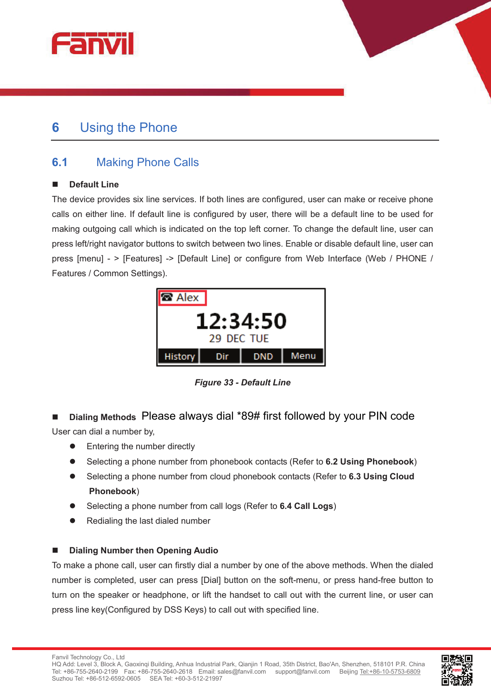



# **6** Using the Phone

## **6.1** Making Phone Calls

#### **n** Default Line

The device provides six line services. If both lines are configured, user can make or receive phone calls on either line. If default line is configured by user, there will be a default line to be used for making outgoing call which is indicated on the top left corner. To change the default line, user can press left/right navigator buttons to switch between two lines. Enable or disable default line, user can press [menu] - > [Features] -> [Default Line] or configure from Web Interface (Web / PHONE / Features / Common Settings).



*Figure 33 - Default Line* 

■ Dialing Methods Please always dial \*89# first followed by your PIN code User can dial a number by,

- Entering the number directly
- l Selecting a phone number from phonebook contacts (Refer to **6.2 Using Phonebook**)
- l Selecting a phone number from cloud phonebook contacts (Refer to **6.3 Using Cloud Phonebook**)
- l Selecting a phone number from call logs (Refer to **6.4 Call Logs**)
- Redialing the last dialed number

#### **Dialing Number then Opening Audio**

To make a phone call, user can firstly dial a number by one of the above methods. When the dialed number is completed, user can press [Dial] button on the soft-menu, or press hand-free button to turn on the speaker or headphone, or lift the handset to call out with the current line, or user can press line key(Configured by DSS Keys) to call out with specified line.

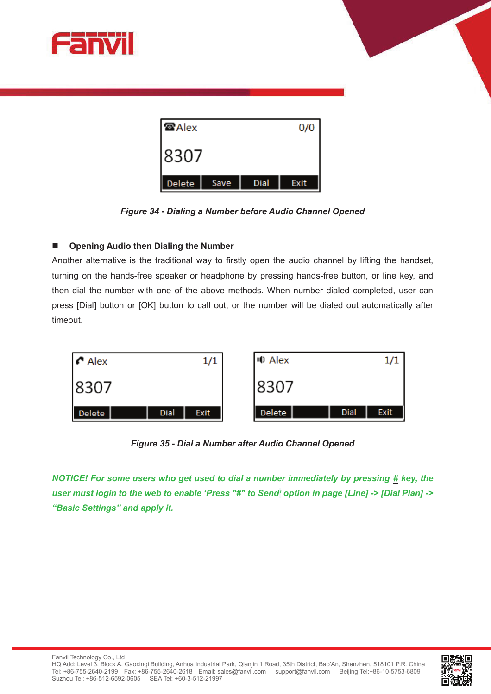



*Figure 34 - Dialing a Number before Audio Channel Opened* 

#### ■ Opening Audio then Dialing the Number

Another alternative is the traditional way to firstly open the audio channel by lifting the handset, turning on the hands-free speaker or headphone by pressing hands-free button, or line key, and then dial the number with one of the above methods. When number dialed completed, user can press [Dial] button or [OK] button to call out, or the number will be dialed out automatically after timeout.



*Figure 35 - Dial a Number after Audio Channel Opened*

*NOTICE! For some users who get used to dial a number immediately by pressing # key, the user must login to the web to enable 'Press "#" to Send' option in page [Line] -> [Dial Plan] -> "Basic Settings" and apply it.* 

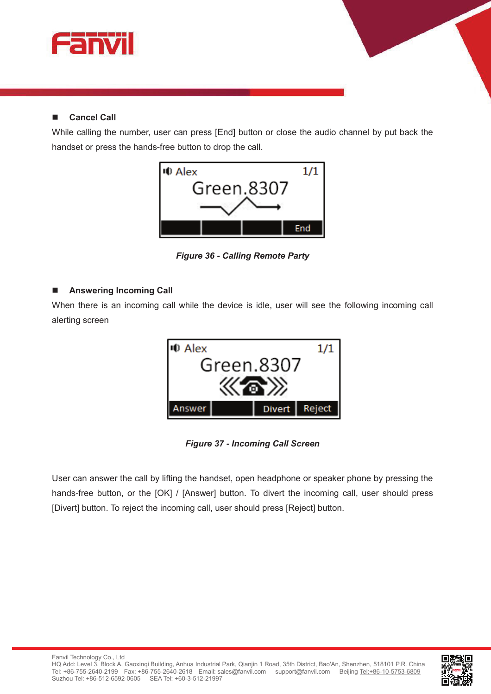

### **n** Cancel Call

While calling the number, user can press [End] button or close the audio channel by put back the handset or press the hands-free button to drop the call.



*Figure 36 - Calling Remote Party* 

#### **n** Answering Incoming Call

When there is an incoming call while the device is idle, user will see the following incoming call alerting screen



*Figure 37 - Incoming Call Screen* 

User can answer the call by lifting the handset, open headphone or speaker phone by pressing the hands-free button, or the [OK] / [Answer] button. To divert the incoming call, user should press [Divert] button. To reject the incoming call, user should press [Reject] button.

Fanvil Technology Co., Ltd

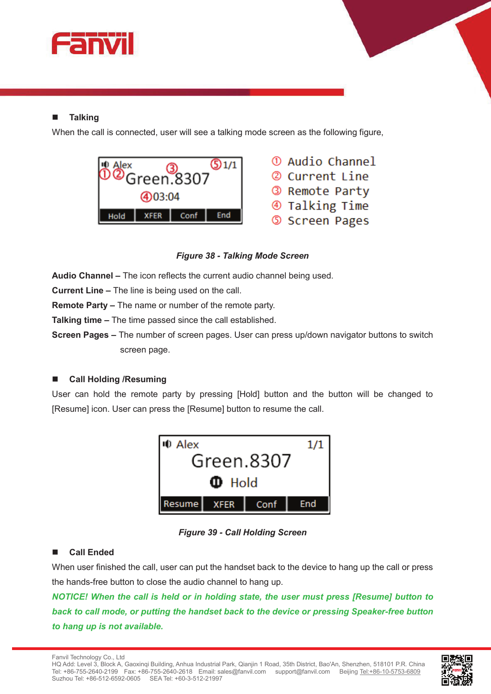

#### **Talking**

When the call is connected, user will see a talking mode screen as the following figure,





**v** 

*Figure 38 - Talking Mode Screen* 

**Audio Channel –** The icon reflects the current audio channel being used.

**Current Line –** The line is being used on the call.

**Remote Party –** The name or number of the remote party.

**Talking time –** The time passed since the call established.

**Screen Pages –** The number of screen pages. User can press up/down navigator buttons to switch screen page.

#### ■ Call Holding /Resuming

User can hold the remote party by pressing [Hold] button and the button will be changed to [Resume] icon. User can press the [Resume] button to resume the call.



*Figure 39 - Call Holding Screen* 

#### **n** Call Ended

When user finished the call, user can put the handset back to the device to hang up the call or press the hands-free button to close the audio channel to hang up.

*NOTICE! When the call is held or in holding state, the user must press [Resume] button to back to call mode, or putting the handset back to the device or pressing Speaker-free button to hang up is not available.* 

Fanvil Technology Co., Ltd

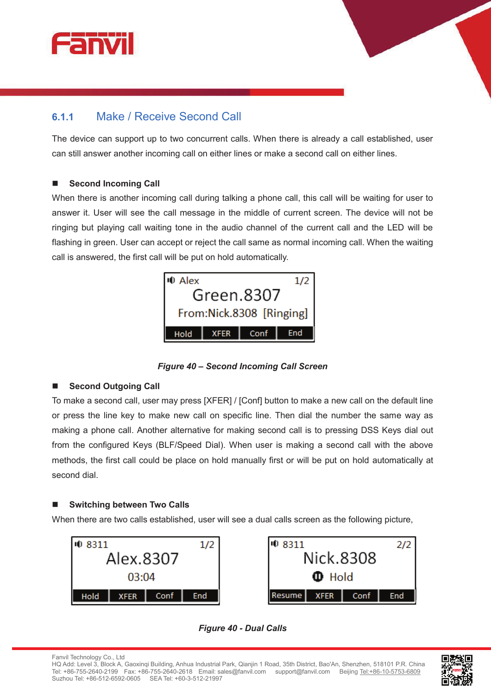



The device can support up to two concurrent calls. When there is already a call established, user can still answer another incoming call on either lines or make a second call on either lines.

#### **n** Second Incoming Call

When there is another incoming call during talking a phone call, this call will be waiting for user to answer it. User will see the call message in the middle of current screen. The device will not be ringing but playing call waiting tone in the audio channel of the current call and the LED will be flashing in green. User can accept or reject the call same as normal incoming call. When the waiting call is answered, the first call will be put on hold automatically.



*Figure 40 – Second Incoming Call Screen* 

#### **Second Outgoing Call**

To make a second call, user may press [XFER] / [Conf] button to make a new call on the default line or press the line key to make new call on specific line. Then dial the number the same way as making a phone call. Another alternative for making second call is to pressing DSS Keys dial out from the configured Keys (BLF/Speed Dial). When user is making a second call with the above methods, the first call could be place on hold manually first or will be put on hold automatically at second dial.

#### ■ Switching between Two Calls

When there are two calls established, user will see a dual calls screen as the following picture,



| 10 8311           |  |      | 2/2 |
|-------------------|--|------|-----|
| Nick.8308         |  |      |     |
| $\mathbf{D}$ Hold |  |      |     |
| Resume   XFER     |  | Conf |     |



Fanvil Technology Co., Ltd HQ Add: Level 3, Block A, Gaoxinqi Building, Anhua Industrial Park, Qianjin 1 Road, 35th District, Bao'An, Shenzhen, 518101 P.R. China Tel: +86-755-2640-2199 Fax: +86-755-2640-2618 Email: sales@fanvil.com support@fanvil.com Beijing Tel:+86-10-5753-6809 Suzhou Tel: +86-512-6592-0605 SEA Tel: +60-3-512-21997

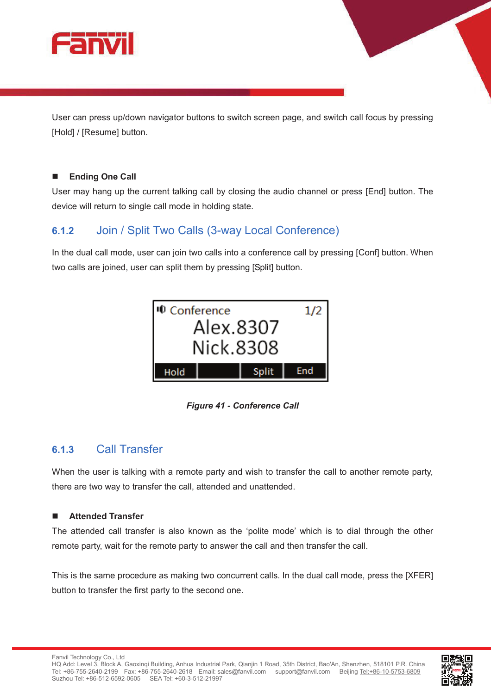

User can press up/down navigator buttons to switch screen page, and switch call focus by pressing [Hold] / [Resume] button.

#### **n** Ending One Call

User may hang up the current talking call by closing the audio channel or press [End] button. The device will return to single call mode in holding state.

### **6.1.2** Join / Split Two Calls (3-way Local Conference)

In the dual call mode, user can join two calls into a conference call by pressing [Conf] button. When two calls are joined, user can split them by pressing [Split] button.



*Figure 41 - Conference Call* 

### **6.1.3** Call Transfer

When the user is talking with a remote party and wish to transfer the call to another remote party, there are two way to transfer the call, attended and unattended.

#### **n** Attended Transfer

The attended call transfer is also known as the 'polite mode' which is to dial through the other remote party, wait for the remote party to answer the call and then transfer the call.

This is the same procedure as making two concurrent calls. In the dual call mode, press the [XFER] button to transfer the first party to the second one.

Fanvil Technology Co., Ltd

HQ Add: Level 3, Block A, Gaoxinqi Building, Anhua Industrial Park, Qianjin 1 Road, 35th District, Bao'An, Shenzhen, 518101 P.R. China Tel: +86-755-2640-2199 Fax: +86-755-2640-2618 Email: sales@fanvil.com support@fanvil.com Beijing Tel:+86-10-5753-6809 Suzhou Tel: +86-512-6592-0605 SEA Tel: +60-3-512-21997

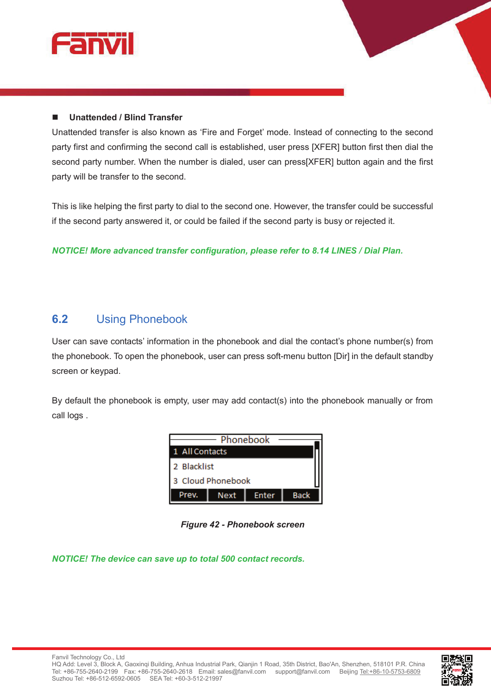

#### ■ Unattended / Blind Transfer

Unattended transfer is also known as 'Fire and Forget' mode. Instead of connecting to the second party first and confirming the second call is established, user press [XFER] button first then dial the second party number. When the number is dialed, user can press[XFER] button again and the first party will be transfer to the second.

This is like helping the first party to dial to the second one. However, the transfer could be successful if the second party answered it, or could be failed if the second party is busy or rejected it.

*NOTICE! More advanced transfer configuration, please refer to 8.14 LINES / Dial Plan.* 

### **6.2** Using Phonebook

User can save contacts' information in the phonebook and dial the contact's phone number(s) from the phonebook. To open the phonebook, user can press soft-menu button [Dir] in the default standby screen or keypad.

By default the phonebook is empty, user may add contact(s) into the phonebook manually or from call logs .



*Figure 42 - Phonebook screen* 

*NOTICE! The device can save up to total 500 contact records.* 

**v** 

Fanvil Technology Co., Ltd

HQ Add: Level 3, Block A, Gaoxinqi Building, Anhua Industrial Park, Qianjin 1 Road, 35th District, Bao'An, Shenzhen, 518101 P.R. China Tel: +86-755-2640-2199 Fax: +86-755-2640-2618 Email: sales@fanvil.com support@fanvil.com Beijing Tel:+86-10-5753-6809 Suzhou Tel: +86-512-6592-0605 SEA Tel: +60-3-512-21997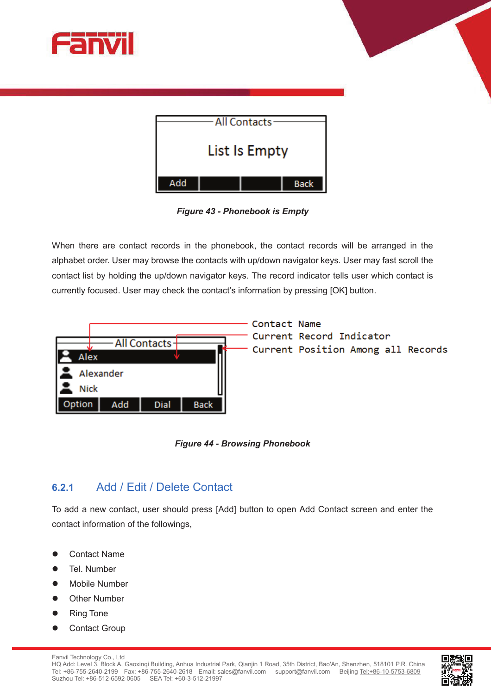



| <b>All Contacts</b> |  |  |             |
|---------------------|--|--|-------------|
| List Is Empty       |  |  |             |
|                     |  |  |             |
| Add                 |  |  | <b>Back</b> |

*Figure 43 - Phonebook is Empty* 

When there are contact records in the phonebook, the contact records will be arranged in the alphabet order. User may browse the contacts with up/down navigator keys. User may fast scroll the contact list by holding the up/down navigator keys. The record indicator tells user which contact is currently focused. User may check the contact's information by pressing [OK] button.



*Figure 44 - Browsing Phonebook* 

### **6.2.1** Add / Edit / Delete Contact

To add a new contact, user should press [Add] button to open Add Contact screen and enter the contact information of the followings,

- **Contact Name**
- Tel. Number
- Mobile Number
- **Other Number**
- **Ring Tone**
- **Contact Group**

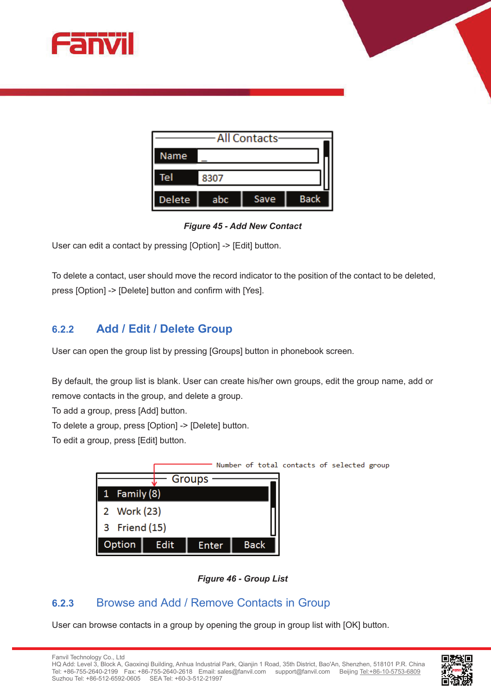



| All Contacts  |      |      |             |
|---------------|------|------|-------------|
| Name          |      |      |             |
| Tel           | 8307 |      |             |
| <b>Delete</b> | abc  | Save | <b>Back</b> |

*Figure 45 - Add New Contact* 

User can edit a contact by pressing [Option] -> [Edit] button.

To delete a contact, user should move the record indicator to the position of the contact to be deleted, press [Option] -> [Delete] button and confirm with [Yes].

### **6.2.2 Add / Edit / Delete Group**

User can open the group list by pressing [Groups] button in phonebook screen.

By default, the group list is blank. User can create his/her own groups, edit the group name, add or remove contacts in the group, and delete a group.

To add a group, press [Add] button.

To delete a group, press [Option] -> [Delete] button.

To edit a group, press [Edit] button.



*Figure 46 - Group List*

## **6.2.3** Browse and Add / Remove Contacts in Group

User can browse contacts in a group by opening the group in group list with [OK] button.

Fanvil Technology Co., Ltd HQ Add: Level 3, Block A, Gaoxinqi Building, Anhua Industrial Park, Qianjin 1 Road, 35th District, Bao'An, Shenzhen, 518101 P.R. China Tel: +86-755-2640-2199 Fax: +86-755-2640-2618 Email: sales@fanvil.com support@fanvil.com Beijing Tel:+86-10-5753-6809 Suzhou Tel: +86-512-6592-0605 SEA Tel: +60-3-512-21997

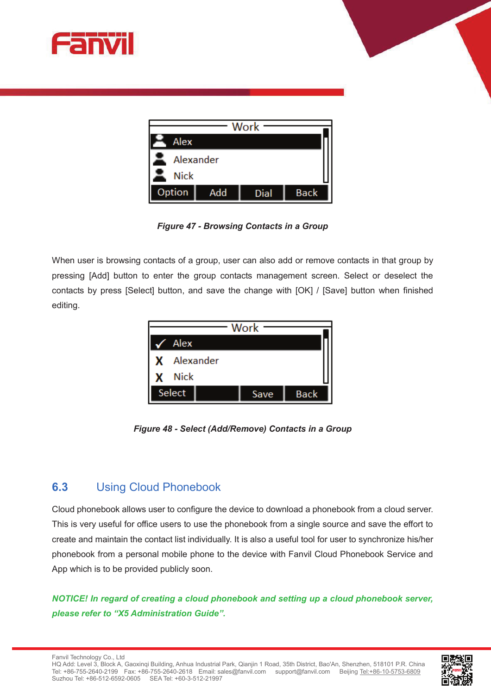



| Work          |     |      |             |  |
|---------------|-----|------|-------------|--|
| Alex          |     |      |             |  |
| Alexander     |     |      |             |  |
| <b>Nick</b>   |     |      |             |  |
| <b>Option</b> | Add | Dial | <b>Back</b> |  |

*Figure 47 - Browsing Contacts in a Group* 

When user is browsing contacts of a group, user can also add or remove contacts in that group by pressing [Add] button to enter the group contacts management screen. Select or deselect the contacts by press [Select] button, and save the change with [OK] / [Save] button when finished editing.



*Figure 48 - Select (Add/Remove) Contacts in a Group* 

## **6.3** Using Cloud Phonebook

Cloud phonebook allows user to configure the device to download a phonebook from a cloud server. This is very useful for office users to use the phonebook from a single source and save the effort to create and maintain the contact list individually. It is also a useful tool for user to synchronize his/her phonebook from a personal mobile phone to the device with Fanvil Cloud Phonebook Service and App which is to be provided publicly soon.

*NOTICE! In regard of creating a cloud phonebook and setting up a cloud phonebook server, please refer to "X5 Administration Guide".* 



HQ Add: Level 3, Block A, Gaoxinqi Building, Anhua Industrial Park, Qianjin 1 Road, 35th District, Bao'An, Shenzhen, 518101 P.R. China Tel: +86-755-2640-2199 Fax: +86-755-2640-2618 Email: sales@fanvil.com support@fanvil.com Beijing Tel:+86-10-5753-6809 Suzhou Tel: +86-512-6592-0605 SEA Tel: +60-3-512-21997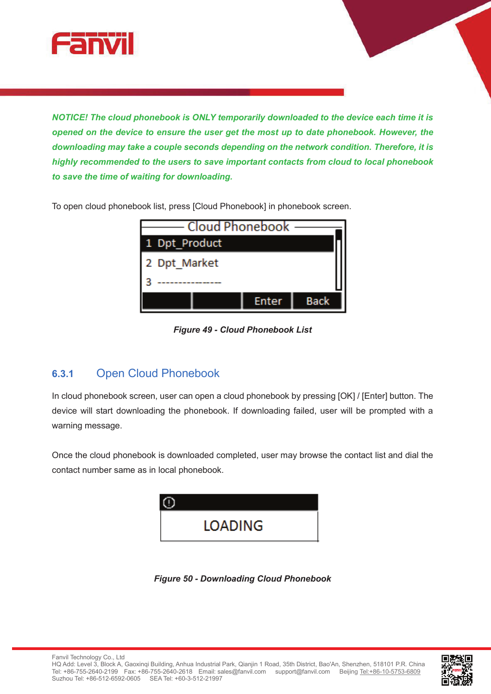

*NOTICE! The cloud phonebook is ONLY temporarily downloaded to the device each time it is opened on the device to ensure the user get the most up to date phonebook. However, the downloading may take a couple seconds depending on the network condition. Therefore, it is highly recommended to the users to save important contacts from cloud to local phonebook to save the time of waiting for downloading.* 

To open cloud phonebook list, press [Cloud Phonebook] in phonebook screen.



*Figure 49 - Cloud Phonebook List* 

## **6.3.1** Open Cloud Phonebook

In cloud phonebook screen, user can open a cloud phonebook by pressing [OK] / [Enter] button. The device will start downloading the phonebook. If downloading failed, user will be prompted with a warning message.

Once the cloud phonebook is downloaded completed, user may browse the contact list and dial the contact number same as in local phonebook.



*Figure 50 - Downloading Cloud Phonebook*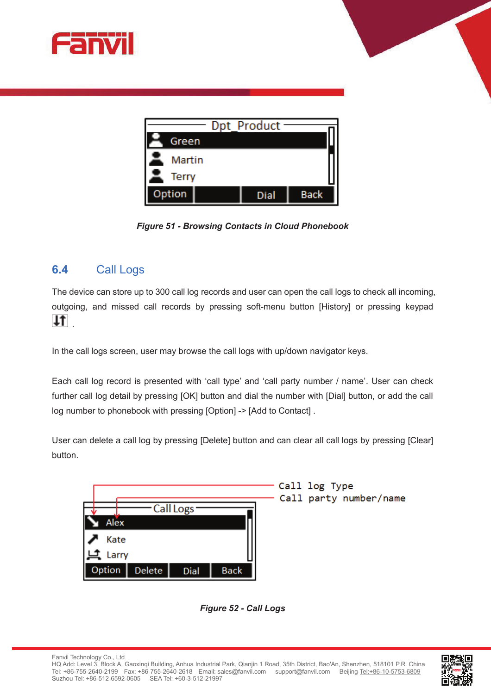





*Figure 51 - Browsing Contacts in Cloud Phonebook* 

### **6.4** Call Logs

The device can store up to 300 call log records and user can open the call logs to check all incoming, outgoing, and missed call records by pressing soft-menu button [History] or pressing keypad  $|T|$ 

In the call logs screen, user may browse the call logs with up/down navigator keys.

Each call log record is presented with 'call type' and 'call party number / name'. User can check further call log detail by pressing [OK] button and dial the number with [Dial] button, or add the call log number to phonebook with pressing [Option] -> [Add to Contact].

User can delete a call log by pressing [Delete] button and can clear all call logs by pressing [Clear] button.

|                                        |             | Call log Type<br>Call party number/name |
|----------------------------------------|-------------|-----------------------------------------|
| Call Logs <sup>-</sup>                 |             |                                         |
| Alex                                   |             |                                         |
| Kate                                   |             |                                         |
| l Li<br>Larry                          |             |                                         |
| Option<br><b>Delete</b><br><b>Dial</b> | <b>Back</b> |                                         |



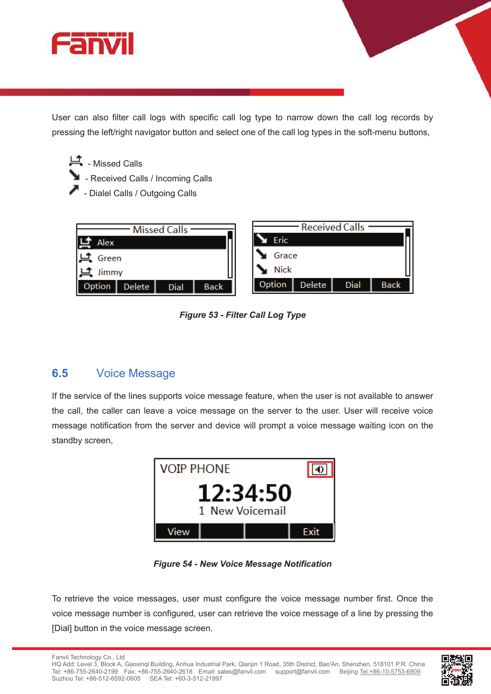

User can also filter call logs with specific call log type to narrow down the call log records by pressing the left/right navigator button and select one of the call log types in the soft-menu buttons,

- 上<br>- Missed Calls
	- **E** Received Calls / Incoming Calls
	- Dialel Calls / Outgoing Calls



*Figure 53 - Filter Call Log Type* 

# **6.5** Voice Message

If the service of the lines supports voice message feature, when the user is not available to answer the call, the caller can leave a voice message on the server to the user. User will receive voice message notification from the server and device will prompt a voice message waiting icon on the standby screen,



*Figure 54 - New Voice Message Notification* 

To retrieve the voice messages, user must configure the voice message number first. Once the voice message number is configured, user can retrieve the voice message of a line by pressing the [Dial] button in the voice message screen.



**v** 

Fanvil Technology Co., Ltd

HQ Add: Level 3, Block A, Gaoxinqi Building, Anhua Industrial Park, Qianjin 1 Road, 35th District, Bao'An, Shenzhen, 518101 P.R. China Tel: +86-755-2640-2199 Fax: +86-755-2640-2618 Email: sales@fanvil.com support@fanvil.com Beijing Tel:+86-10-5753-6809 Suzhou Tel: +86-512-6592-0605 SEA Tel: +60-3-512-21997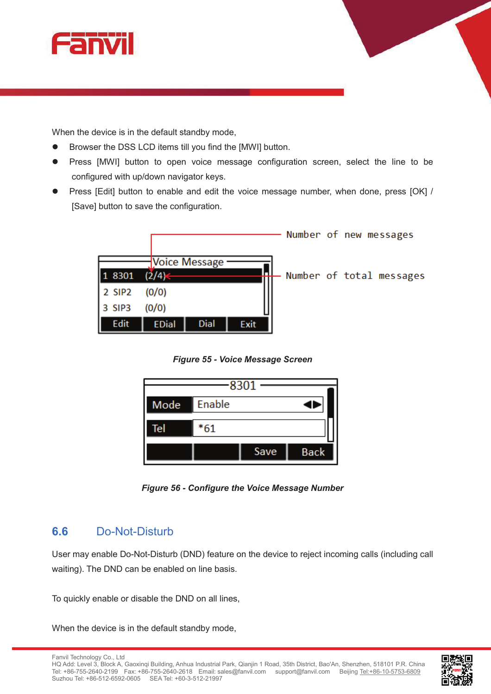

When the device is in the default standby mode,

- Browser the DSS LCD items till you find the [MWI] button.
- Press [MWI] button to open voice message configuration screen, select the line to be configured with up/down navigator keys.
- Press [Edit] button to enable and edit the voice message number, when done, press [OK] / [Save] button to save the configuration.



*Figure 55 - Voice Message Screen* 



*Figure 56 - Configure the Voice Message Number* 

### **6.6** Do-Not-Disturb

User may enable Do-Not-Disturb (DND) feature on the device to reject incoming calls (including call waiting). The DND can be enabled on line basis.

To quickly enable or disable the DND on all lines,

When the device is in the default standby mode,

Fanvil Technology Co., Ltd

HQ Add: Level 3, Block A, Gaoxinqi Building, Anhua Industrial Park, Qianjin 1 Road, 35th District, Bao'An, Shenzhen, 518101 P.R. China Tel: +86-755-2640-2199 Fax: +86-755-2640-2618 Email: sales@fanvil.com support@fanvil.com Beijing Tel:+86-10-5753-6809 Suzhou Tel: +86-512-6592-0605 SEA Tel: +60-3-512-21997

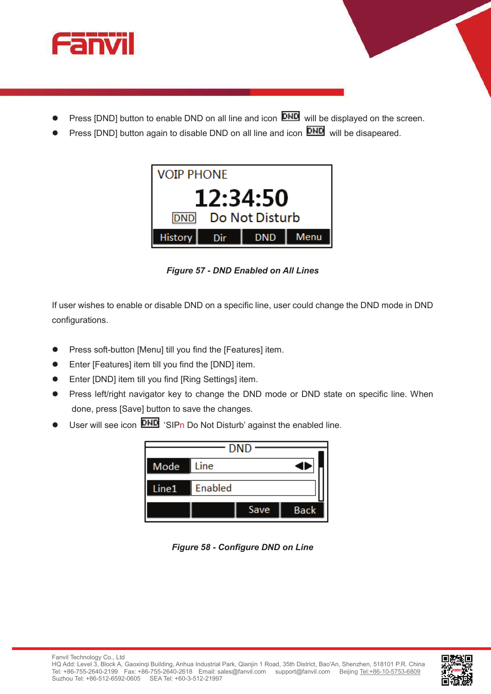

- Press [DND] button to enable DND on all line and icon **DND** will be displayed on the screen.
- Press [DND] button again to disable DND on all line and icon **DND** will be disapeared.



*Figure 57 - DND Enabled on All Lines* 

If user wishes to enable or disable DND on a specific line, user could change the DND mode in DND configurations.

- Press soft-button [Menu] till you find the [Features] item.
- Enter [Features] item till you find the [DND] item.
- Enter [DND] item till you find [Ring Settings] item.
- Press left/right navigator key to change the DND mode or DND state on specific line. When done, press [Save] button to save the changes.
- User will see icon **DHD** 'SIPn Do Not Disturb' against the enabled line.



*Figure 58 - Configure DND on Line*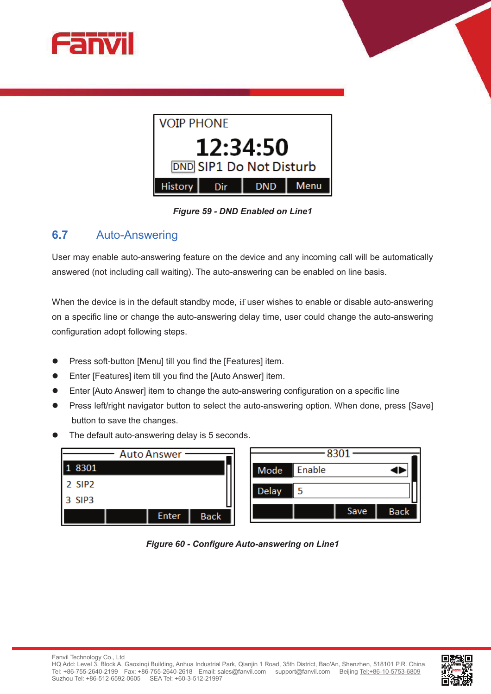



*Figure 59 - DND Enabled on Line1* 

### **6.7** Auto-Answering

User may enable auto-answering feature on the device and any incoming call will be automatically answered (not including call waiting). The auto-answering can be enabled on line basis.

When the device is in the default standby mode, if user wishes to enable or disable auto-answering on a specific line or change the auto-answering delay time, user could change the auto-answering configuration adopt following steps.

- Press soft-button [Menu] till you find the [Features] item.
- Enter [Features] item till you find the [Auto Answer] item.
- l Enter [Auto Answer] item to change the auto-answering configuration on a specific line
- Press left/right navigator button to select the auto-answering option. When done, press [Save] button to save the changes.
- The default auto-answering delay is 5 seconds.



*Figure 60 - Configure Auto-answering on Line1* 

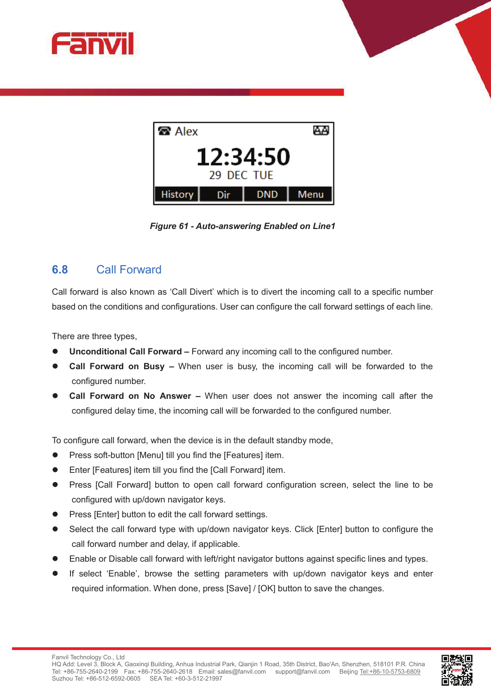



*Figure 61 - Auto-answering Enabled on Line1* 

### **6.8** Call Forward

Call forward is also known as 'Call Divert' which is to divert the incoming call to a specific number based on the conditions and configurations. User can configure the call forward settings of each line.

There are three types,

- l **Unconditional Call Forward –** Forward any incoming call to the configured number.
- **Call Forward on Busy –** When user is busy, the incoming call will be forwarded to the configured number.
- **Call Forward on No Answer –** When user does not answer the incoming call after the configured delay time, the incoming call will be forwarded to the configured number.

To configure call forward, when the device is in the default standby mode,

- Press soft-button [Menu] till you find the [Features] item.
- Enter [Features] item till you find the [Call Forward] item.
- Press [Call Forward] button to open call forward configuration screen, select the line to be configured with up/down navigator keys.
- Press [Enter] button to edit the call forward settings.
- Select the call forward type with up/down navigator keys. Click [Enter] button to configure the call forward number and delay, if applicable.
- Enable or Disable call forward with left/right navigator buttons against specific lines and types.
- If select 'Enable', browse the setting parameters with up/down navigator keys and enter required information. When done, press [Save] / [OK] button to save the changes.

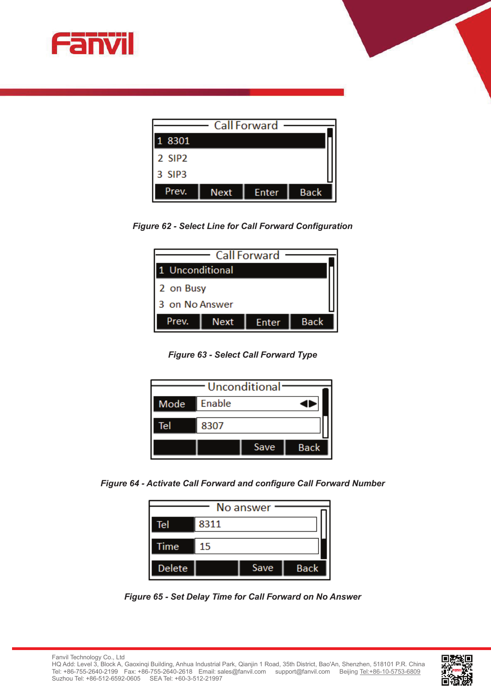



*Figure 62 - Select Line for Call Forward Configuration* 

| <b>Call Forward</b> |      |              |             |
|---------------------|------|--------------|-------------|
| 1 Unconditional     |      |              |             |
| 2 on Busy           |      |              |             |
| 3 on No Answer      |      |              |             |
| Prev.               | Next | <b>Enter</b> | <b>Back</b> |

*Figure 63 - Select Call Forward Type* 



*Figure 64 - Activate Call Forward and configure Call Forward Number* 

| No answer |      |      |             |
|-----------|------|------|-------------|
| Tel       | 8311 |      |             |
| Time      | 15   |      |             |
| Delete    |      | Save | <b>Back</b> |

*Figure 65 - Set Delay Time for Call Forward on No Answer*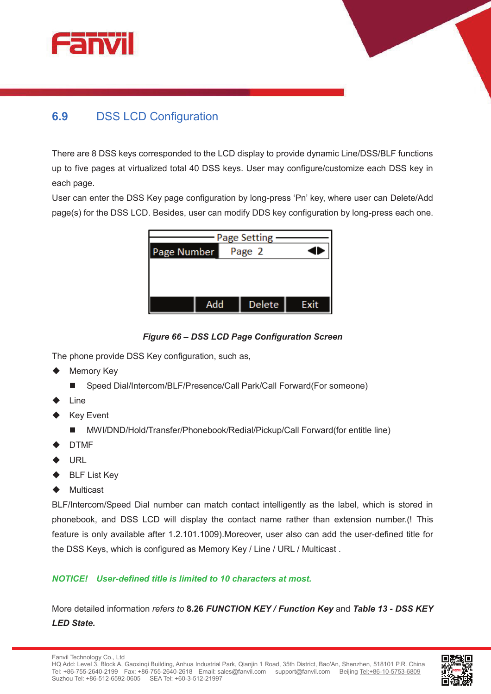



## **6.9** DSS LCD Configuration

There are 8 DSS keys corresponded to the LCD display to provide dynamic Line/DSS/BLF functions up to five pages at virtualized total 40 DSS keys. User may configure/customize each DSS key in each page.

User can enter the DSS Key page configuration by long-press 'Pn' key, where user can Delete/Add page(s) for the DSS LCD. Besides, user can modify DDS key configuration by long-press each one.

| Page Setting |        |        |      |
|--------------|--------|--------|------|
| Page Number  | Page 2 |        |      |
|              |        |        |      |
|              |        |        |      |
|              |        |        |      |
| Add          |        | Delete | Exit |



The phone provide DSS Key configuration, such as,

- **Memory Key** 
	- Speed Dial/Intercom/BLF/Presence/Call Park/Call Forward(For someone)
- Line
- **Key Event** 
	- n MWI/DND/Hold/Transfer/Phonebook/Redial/Pickup/Call Forward(for entitle line)
- **DTMF**
- **URL**
- **BLF List Key**
- **Multicast**

BLF/Intercom/Speed Dial number can match contact intelligently as the label, which is stored in phonebook, and DSS LCD will display the contact name rather than extension number.(! This feature is only available after 1.2.101.1009).Moreover, user also can add the user-defined title for the DSS Keys, which is configured as Memory Key / Line / URL / Multicast .

#### *NOTICE! User-defined title is limited to 10 characters at most.*

More detailed information *refers to* **8.26** *FUNCTION KEY / Function Key* and *Table 13 - DSS KEY LED State.* 

Fanvil Technology Co., Ltd

HQ Add: Level 3, Block A, Gaoxinqi Building, Anhua Industrial Park, Qianjin 1 Road, 35th District, Bao'An, Shenzhen, 518101 P.R. China Tel: +86-755-2640-2199 Fax: +86-755-2640-2618 Email: sales@fanvil.com support@fanvil.com Beijing Tel:+86-10-5753-6809 Suzhou Tel: +86-512-6592-0605 SEA Tel: +60-3-512-21997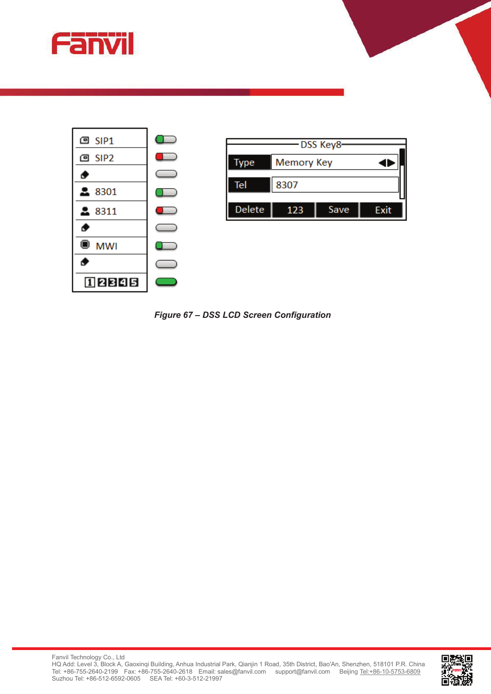



*Figure 67 – DSS LCD Screen Configuration* 

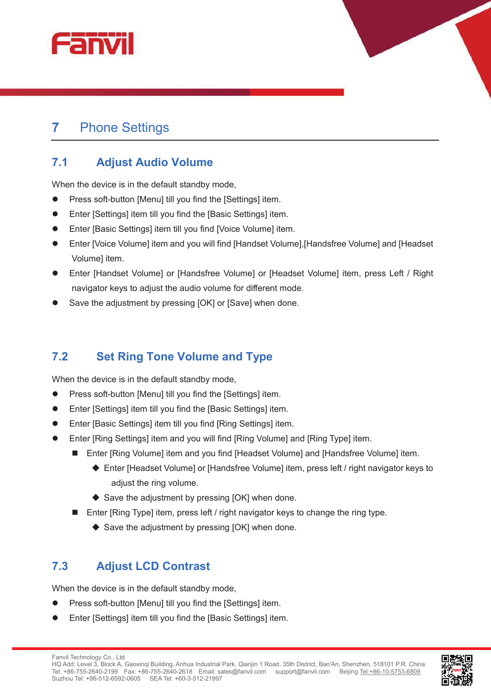



# **7** Phone Settings

## **7.1 Adjust Audio Volume**

When the device is in the default standby mode,

- Press soft-button [Menu] till you find the [Settings] item.
- Enter [Settings] item till you find the [Basic Settings] item.
- Enter [Basic Settings] item till you find [Voice Volume] item.
- Enter [Voice Volume] item and you will find [Handset Volume], [Handsfree Volume] and [Headset Volume] item.
- l Enter [Handset Volume] or [Handsfree Volume] or [Headset Volume] item, press Left / Right navigator keys to adjust the audio volume for different mode.
- Save the adjustment by pressing [OK] or [Save] when done.

## **7.2 Set Ring Tone Volume and Type**

When the device is in the default standby mode,

- Press soft-button [Menu] till you find the [Settings] item.
- Enter [Settings] item till you find the [Basic Settings] item.
- Enter [Basic Settings] item till you find [Ring Settings] item.
- l Enter [Ring Settings] item and you will find [Ring Volume] and [Ring Type] item.
	- Enter [Ring Volume] item and you find [Headset Volume] and [Handsfree Volume] item.
		- ♦ Enter [Headset Volume] or [Handsfree Volume] item, press left / right navigator keys to adiust the ring volume.
		- $\triangle$  Save the adjustment by pressing [OK] when done.
	- **n** Enter [Ring Type] item, press left  $\ell$  right navigator keys to change the ring type.
		- $\triangle$  Save the adjustment by pressing [OK] when done.

# **7.3 Adjust LCD Contrast**

When the device is in the default standby mode,

- Press soft-button [Menu] till you find the [Settings] item.
- **•** Enter [Settings] item till you find the [Basic Settings] item.



Fanvil Technology Co., Ltd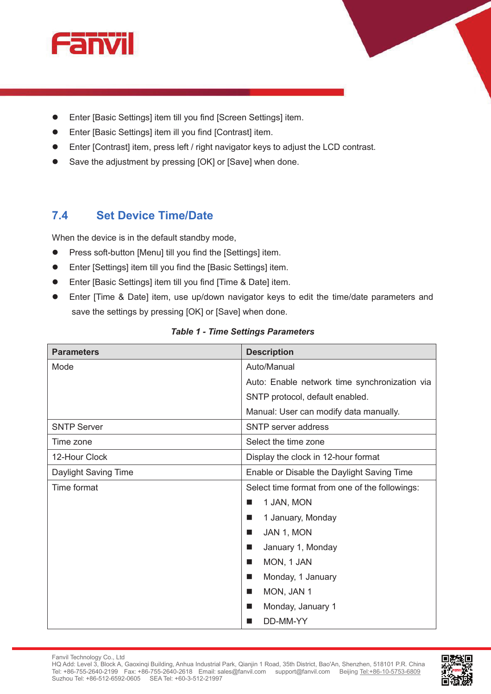

- Enter [Basic Settings] item till you find [Screen Settings] item.
- Enter [Basic Settings] item ill you find [Contrast] item.
- Enter [Contrast] item, press left / right navigator keys to adjust the LCD contrast.
- Save the adjustment by pressing [OK] or [Save] when done.

### **7.4 Set Device Time/Date**

When the device is in the default standby mode,

- Press soft-button [Menu] till you find the [Settings] item.
- Enter [Settings] item till you find the [Basic Settings] item.
- Enter [Basic Settings] item till you find [Time & Date] item.
- Enter [Time & Date] item, use up/down navigator keys to edit the time/date parameters and save the settings by pressing [OK] or [Save] when done.

| <b>Parameters</b>    | <b>Description</b>                             |  |
|----------------------|------------------------------------------------|--|
| Mode                 | Auto/Manual                                    |  |
|                      | Auto: Enable network time synchronization via  |  |
|                      | SNTP protocol, default enabled.                |  |
|                      | Manual: User can modify data manually.         |  |
| <b>SNTP Server</b>   | <b>SNTP</b> server address                     |  |
| Time zone            | Select the time zone                           |  |
| 12-Hour Clock        | Display the clock in 12-hour format            |  |
| Daylight Saving Time | Enable or Disable the Daylight Saving Time     |  |
| Time format          | Select time format from one of the followings: |  |
|                      | 1 JAN, MON<br>ш                                |  |
|                      | 1 January, Monday<br>ш                         |  |
|                      | JAN 1, MON<br>ш                                |  |
|                      | January 1, Monday<br>ш                         |  |
|                      | MON, 1 JAN<br>ш                                |  |
|                      | Monday, 1 January<br>ш                         |  |
|                      | MON, JAN 1<br>ш                                |  |
|                      | Monday, January 1<br>ш                         |  |
|                      | DD-MM-YY                                       |  |

#### *Table 1 - Time Settings Parameters*